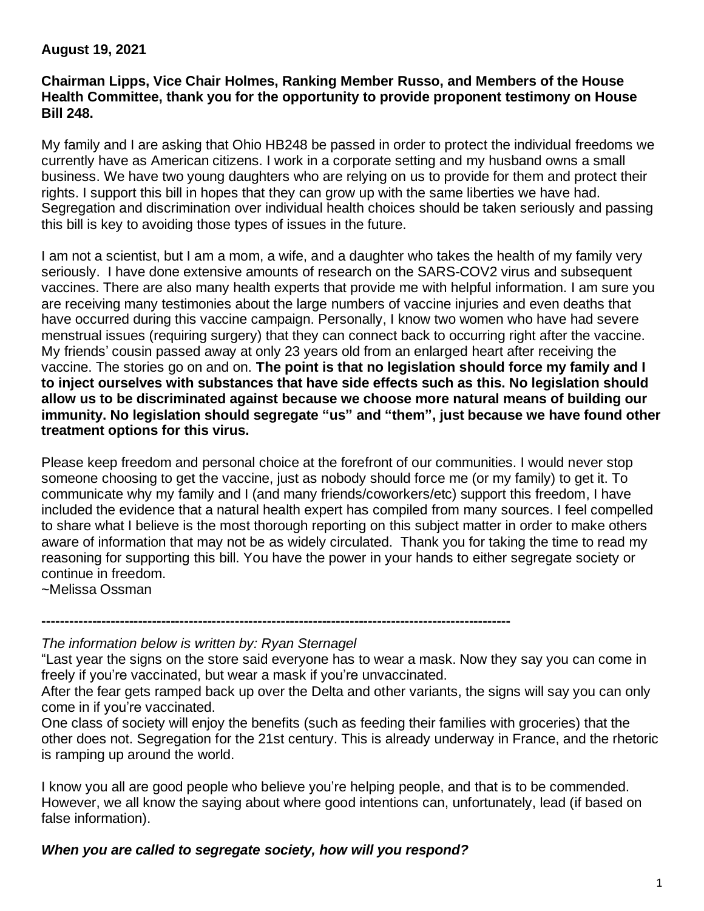#### **August 19, 2021**

#### **Chairman Lipps, Vice Chair Holmes, Ranking Member Russo, and Members of the House Health Committee, thank you for the opportunity to provide proponent testimony on House Bill 248.**

My family and I are asking that Ohio HB248 be passed in order to protect the individual freedoms we currently have as American citizens. I work in a corporate setting and my husband owns a small business. We have two young daughters who are relying on us to provide for them and protect their rights. I support this bill in hopes that they can grow up with the same liberties we have had. Segregation and discrimination over individual health choices should be taken seriously and passing this bill is key to avoiding those types of issues in the future.

I am not a scientist, but I am a mom, a wife, and a daughter who takes the health of my family very seriously. I have done extensive amounts of research on the SARS-COV2 virus and subsequent vaccines. There are also many health experts that provide me with helpful information. I am sure you are receiving many testimonies about the large numbers of vaccine injuries and even deaths that have occurred during this vaccine campaign. Personally, I know two women who have had severe menstrual issues (requiring surgery) that they can connect back to occurring right after the vaccine. My friends' cousin passed away at only 23 years old from an enlarged heart after receiving the vaccine. The stories go on and on. **The point is that no legislation should force my family and I to inject ourselves with substances that have side effects such as this. No legislation should allow us to be discriminated against because we choose more natural means of building our immunity. No legislation should segregate "us" and "them", just because we have found other treatment options for this virus.**

Please keep freedom and personal choice at the forefront of our communities. I would never stop someone choosing to get the vaccine, just as nobody should force me (or my family) to get it. To communicate why my family and I (and many friends/coworkers/etc) support this freedom, I have included the evidence that a natural health expert has compiled from many sources. I feel compelled to share what I believe is the most thorough reporting on this subject matter in order to make others aware of information that may not be as widely circulated. Thank you for taking the time to read my reasoning for supporting this bill. You have the power in your hands to either segregate society or continue in freedom.

~Melissa Ossman

**------------------------------------------------------------------------------------------------------**

*The information below is written by: Ryan Sternagel*

"Last year the signs on the store said everyone has to wear a mask. Now they say you can come in freely if you're vaccinated, but wear a mask if you're unvaccinated.

After the fear gets ramped back up over the Delta and other variants, the signs will say you can only come in if you're vaccinated.

One class of society will enjoy the benefits (such as feeding their families with groceries) that the other does not. Segregation for the 21st century. This is already underway in France, and the rhetoric is ramping up around the world.

I know you all are good people who believe you're helping people, and that is to be commended. However, we all know the saying about where good intentions can, unfortunately, lead (if based on false information).

*When you are called to segregate society, how will you respond?*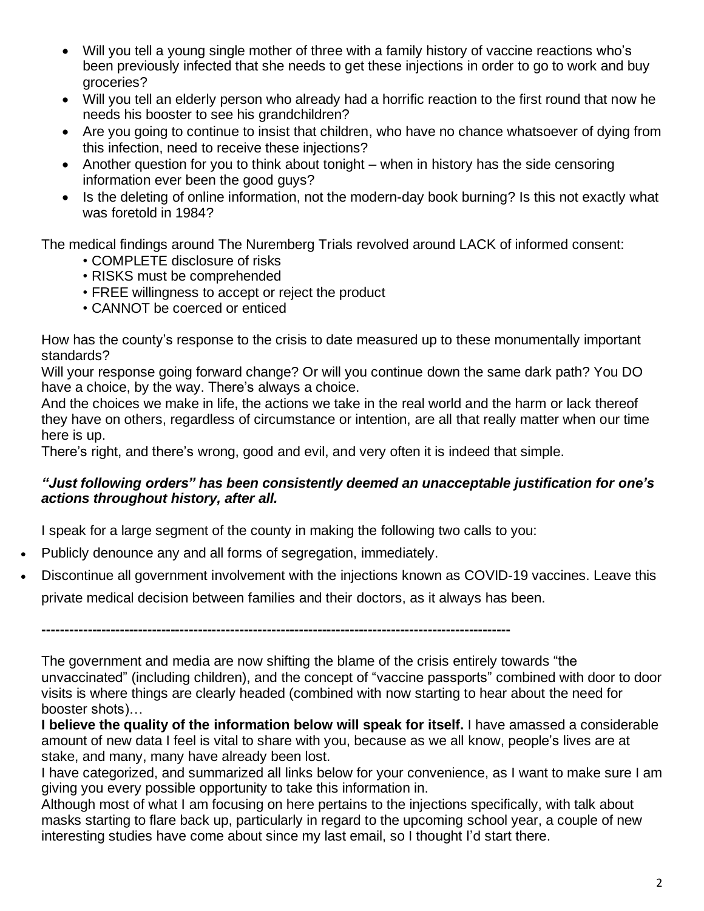- Will you tell a young single mother of three with a family history of vaccine reactions who's been previously infected that she needs to get these injections in order to go to work and buy groceries?
- Will you tell an elderly person who already had a horrific reaction to the first round that now he needs his booster to see his grandchildren?
- Are you going to continue to insist that children, who have no chance whatsoever of dying from this infection, need to receive these injections?
- Another question for you to think about tonight when in history has the side censoring information ever been the good guys?
- Is the deleting of online information, not the modern-day book burning? Is this not exactly what was foretold in 1984?

The medical findings around The Nuremberg Trials revolved around LACK of informed consent:

- COMPLETE disclosure of risks
- RISKS must be comprehended
- FREE willingness to accept or reject the product
- CANNOT be coerced or enticed

How has the county's response to the crisis to date measured up to these monumentally important standards?

Will your response going forward change? Or will you continue down the same dark path? You DO have a choice, by the way. There's always a choice.

And the choices we make in life, the actions we take in the real world and the harm or lack thereof they have on others, regardless of circumstance or intention, are all that really matter when our time here is up.

There's right, and there's wrong, good and evil, and very often it is indeed that simple.

#### *"Just following orders" has been consistently deemed an unacceptable justification for one's actions throughout history, after all.*

I speak for a large segment of the county in making the following two calls to you:

- Publicly denounce any and all forms of segregation, immediately.
- Discontinue all government involvement with the injections known as COVID-19 vaccines. Leave this private medical decision between families and their doctors, as it always has been.

**------------------------------------------------------------------------------------------------------**

The government and media are now shifting the blame of the crisis entirely towards "the unvaccinated" (including children), and the concept of "vaccine passports" combined with door to door visits is where things are clearly headed (combined with now starting to hear about the need for booster shots)…

**I believe the quality of the information below will speak for itself.** I have amassed a considerable amount of new data I feel is vital to share with you, because as we all know, people's lives are at stake, and many, many have already been lost.

I have categorized, and summarized all links below for your convenience, as I want to make sure I am giving you every possible opportunity to take this information in.

Although most of what I am focusing on here pertains to the injections specifically, with talk about masks starting to flare back up, particularly in regard to the upcoming school year, a couple of new interesting studies have come about since my last email, so I thought I'd start there.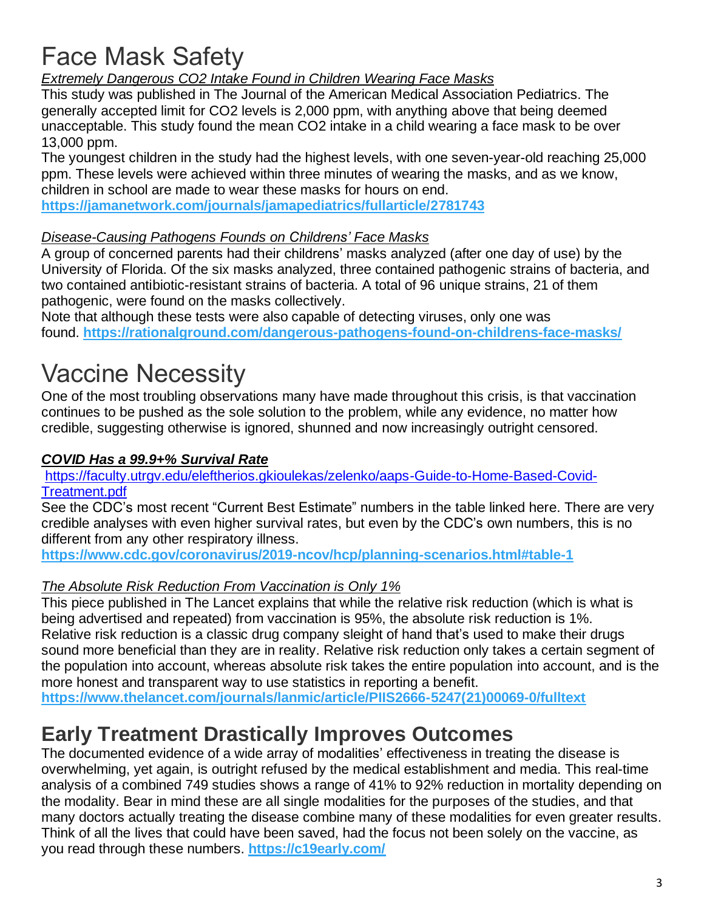# Face Mask Safety

*Extremely Dangerous CO2 Intake Found in Children Wearing Face Masks*

This study was published in The Journal of the American Medical Association Pediatrics. The generally accepted limit for CO2 levels is 2,000 ppm, with anything above that being deemed unacceptable. This study found the mean CO2 intake in a child wearing a face mask to be over 13,000 ppm.

The youngest children in the study had the highest levels, with one seven-year-old reaching 25,000 ppm. These levels were achieved within three minutes of wearing the masks, and as we know, children in school are made to wear these masks for hours on end.

**<https://jamanetwork.com/journals/jamapediatrics/fullarticle/2781743>**

#### *Disease-Causing Pathogens Founds on Childrens' Face Masks*

A group of concerned parents had their childrens' masks analyzed (after one day of use) by the University of Florida. Of the six masks analyzed, three contained pathogenic strains of bacteria, and two contained antibiotic-resistant strains of bacteria. A total of 96 unique strains, 21 of them pathogenic, were found on the masks collectively.

Note that although these tests were also capable of detecting viruses, only one was found. **<https://rationalground.com/dangerous-pathogens-found-on-childrens-face-masks/>**

# Vaccine Necessity

One of the most troubling observations many have made throughout this crisis, is that vaccination continues to be pushed as the sole solution to the problem, while any evidence, no matter how credible, suggesting otherwise is ignored, shunned and now increasingly outright censored.

#### *COVID Has a 99.9+% Survival Rate*

[https://faculty.utrgv.edu/eleftherios.gkioulekas/zelenko/aaps-Guide-to-Home-Based-Covid-](https://faculty.utrgv.edu/eleftherios.gkioulekas/zelenko/aaps-Guide-to-Home-Based-Covid-Treatment.pdf)[Treatment.pdf](https://faculty.utrgv.edu/eleftherios.gkioulekas/zelenko/aaps-Guide-to-Home-Based-Covid-Treatment.pdf)

See the CDC's most recent "Current Best Estimate" numbers in the table linked here. There are very credible analyses with even higher survival rates, but even by the CDC's own numbers, this is no different from any other respiratory illness.

**<https://www.cdc.gov/coronavirus/2019-ncov/hcp/planning-scenarios.html#table-1>**

#### *The Absolute Risk Reduction From Vaccination is Only 1%*

This piece published in The Lancet explains that while the relative risk reduction (which is what is being advertised and repeated) from vaccination is 95%, the absolute risk reduction is 1%. Relative risk reduction is a classic drug company sleight of hand that's used to make their drugs sound more beneficial than they are in reality. Relative risk reduction only takes a certain segment of the population into account, whereas absolute risk takes the entire population into account, and is the more honest and transparent way to use statistics in reporting a benefit.

**[https://www.thelancet.com/journals/lanmic/article/PIIS2666-5247\(21\)00069-0/fulltext](https://www.thelancet.com/journals/lanmic/article/PIIS2666-5247(21)00069-0/fulltext)**

### **Early Treatment Drastically Improves Outcomes**

The documented evidence of a wide array of modalities' effectiveness in treating the disease is overwhelming, yet again, is outright refused by the medical establishment and media. This real-time analysis of a combined 749 studies shows a range of 41% to 92% reduction in mortality depending on the modality. Bear in mind these are all single modalities for the purposes of the studies, and that many doctors actually treating the disease combine many of these modalities for even greater results. Think of all the lives that could have been saved, had the focus not been solely on the vaccine, as you read through these numbers. **<https://c19early.com/>**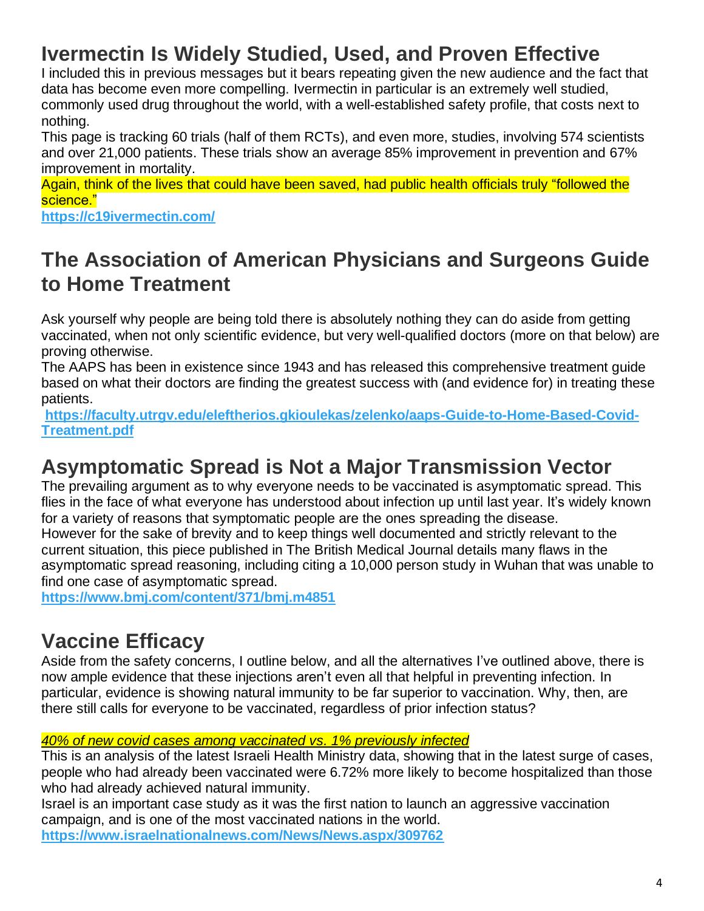# **Ivermectin Is Widely Studied, Used, and Proven Effective**

I included this in previous messages but it bears repeating given the new audience and the fact that data has become even more compelling. Ivermectin in particular is an extremely well studied, commonly used drug throughout the world, with a well-established safety profile, that costs next to nothing.

This page is tracking 60 trials (half of them RCTs), and even more, studies, involving 574 scientists and over 21,000 patients. These trials show an average 85% improvement in prevention and 67% improvement in mortality.

Again, think of the lives that could have been saved, had public health officials truly "followed the science."

**<https://c19ivermectin.com/>**

### **The Association of American Physicians and Surgeons Guide to Home Treatment**

Ask yourself why people are being told there is absolutely nothing they can do aside from getting vaccinated, when not only scientific evidence, but very well-qualified doctors (more on that below) are proving otherwise.

The AAPS has been in existence since 1943 and has released this comprehensive treatment guide based on what their doctors are finding the greatest success with (and evidence for) in treating these patients.

**[https://faculty.utrgv.edu/eleftherios.gkioulekas/zelenko/aaps-Guide-to-Home-Based-Covid-](https://faculty.utrgv.edu/eleftherios.gkioulekas/zelenko/aaps-Guide-to-Home-Based-Covid-Treatment.pdf)[Treatment.pdf](https://faculty.utrgv.edu/eleftherios.gkioulekas/zelenko/aaps-Guide-to-Home-Based-Covid-Treatment.pdf)**

### **Asymptomatic Spread is Not a Major Transmission Vector**

The prevailing argument as to why everyone needs to be vaccinated is asymptomatic spread. This flies in the face of what everyone has understood about infection up until last year. It's widely known for a variety of reasons that symptomatic people are the ones spreading the disease. However for the sake of brevity and to keep things well documented and strictly relevant to the current situation, this piece published in The British Medical Journal details many flaws in the asymptomatic spread reasoning, including citing a 10,000 person study in Wuhan that was unable to find one case of asymptomatic spread.

**<https://www.bmj.com/content/371/bmj.m4851>**

# **Vaccine Efficacy**

Aside from the safety concerns, I outline below, and all the alternatives I've outlined above, there is now ample evidence that these injections aren't even all that helpful in preventing infection. In particular, evidence is showing natural immunity to be far superior to vaccination. Why, then, are there still calls for everyone to be vaccinated, regardless of prior infection status?

#### *40% of new covid cases among vaccinated vs. 1% previously infected*

This is an analysis of the latest Israeli Health Ministry data, showing that in the latest surge of cases, people who had already been vaccinated were 6.72% more likely to become hospitalized than those who had already achieved natural immunity.

Israel is an important case study as it was the first nation to launch an aggressive vaccination campaign, and is one of the most vaccinated nations in the world. **<https://www.israelnationalnews.com/News/News.aspx/309762>**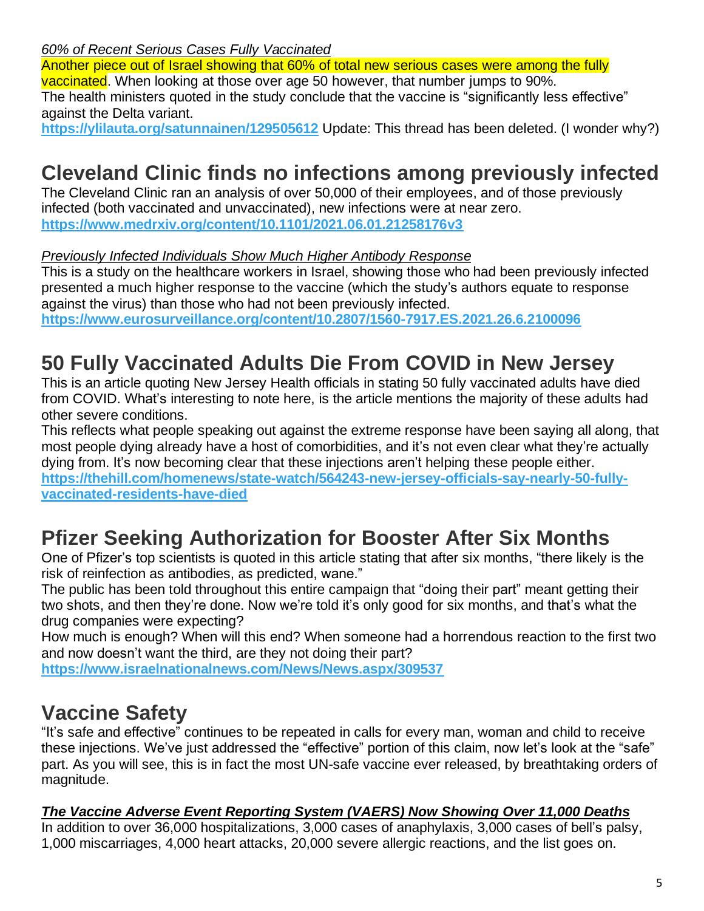*60% of Recent Serious Cases Fully Vaccinated*

Another piece out of Israel showing that 60% of total new serious cases were among the fully vaccinated. When looking at those over age 50 however, that number jumps to 90%. The health ministers quoted in the study conclude that the vaccine is "significantly less effective" against the Delta variant.

**<https://ylilauta.org/satunnainen/129505612>** Update: This thread has been deleted. (I wonder why?)

# **Cleveland Clinic finds no infections among previously infected**

The Cleveland Clinic ran an analysis of over 50,000 of their employees, and of those previously infected (both vaccinated and unvaccinated), new infections were at near zero. **<https://www.medrxiv.org/content/10.1101/2021.06.01.21258176v3>**

#### *Previously Infected Individuals Show Much Higher Antibody Response*

This is a study on the healthcare workers in Israel, showing those who had been previously infected presented a much higher response to the vaccine (which the study's authors equate to response against the virus) than those who had not been previously infected.

**<https://www.eurosurveillance.org/content/10.2807/1560-7917.ES.2021.26.6.2100096>**

### **50 Fully Vaccinated Adults Die From COVID in New Jersey**

This is an article quoting New Jersey Health officials in stating 50 fully vaccinated adults have died from COVID. What's interesting to note here, is the article mentions the majority of these adults had other severe conditions.

This reflects what people speaking out against the extreme response have been saying all along, that most people dying already have a host of comorbidities, and it's not even clear what they're actually dying from. It's now becoming clear that these injections aren't helping these people either. **[https://thehill.com/homenews/state-watch/564243-new-jersey-officials-say-nearly-50-fully](https://thehill.com/homenews/state-watch/564243-new-jersey-officials-say-nearly-50-fully-vaccinated-residents-have-died)[vaccinated-residents-have-died](https://thehill.com/homenews/state-watch/564243-new-jersey-officials-say-nearly-50-fully-vaccinated-residents-have-died)**

### **Pfizer Seeking Authorization for Booster After Six Months**

One of Pfizer's top scientists is quoted in this article stating that after six months, "there likely is the risk of reinfection as antibodies, as predicted, wane."

The public has been told throughout this entire campaign that "doing their part" meant getting their two shots, and then they're done. Now we're told it's only good for six months, and that's what the drug companies were expecting?

How much is enough? When will this end? When someone had a horrendous reaction to the first two and now doesn't want the third, are they not doing their part?

**<https://www.israelnationalnews.com/News/News.aspx/309537>**

#### **Vaccine Safety**

"It's safe and effective" continues to be repeated in calls for every man, woman and child to receive these injections. We've just addressed the "effective" portion of this claim, now let's look at the "safe" part. As you will see, this is in fact the most UN-safe vaccine ever released, by breathtaking orders of magnitude.

#### *The Vaccine Adverse Event Reporting System (VAERS) Now Showing Over 11,000 Deaths*

In addition to over 36,000 hospitalizations, 3,000 cases of anaphylaxis, 3,000 cases of bell's palsy, 1,000 miscarriages, 4,000 heart attacks, 20,000 severe allergic reactions, and the list goes on.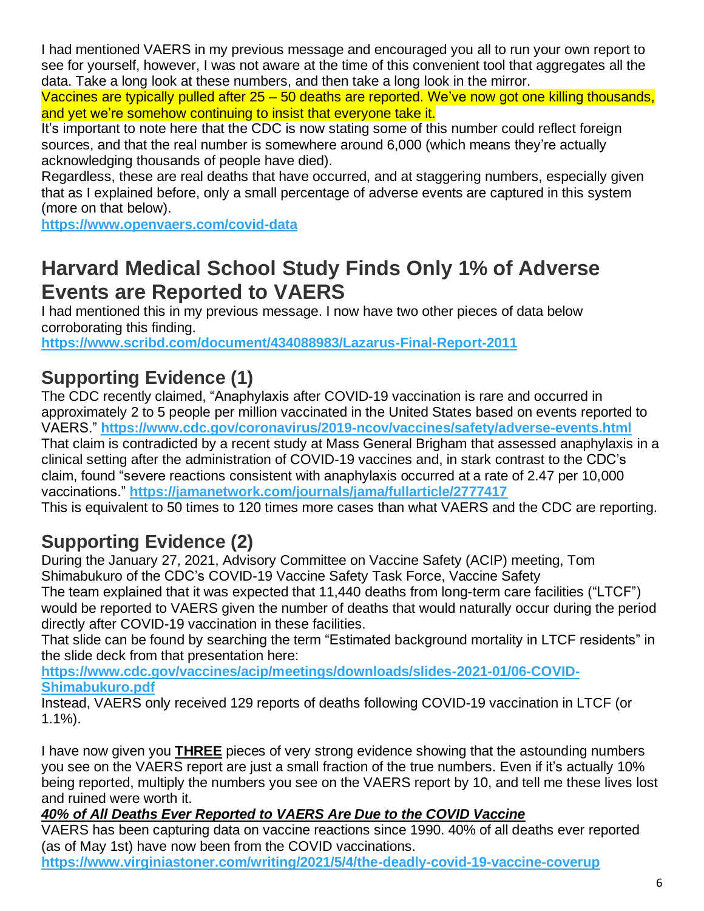I had mentioned VAERS in my previous message and encouraged you all to run your own report to see for yourself, however, I was not aware at the time of this convenient tool that aggregates all the data. Take a long look at these numbers, and then take a long look in the mirror.

Vaccines are typically pulled after 25 – 50 deaths are reported. We've now got one killing thousands, and yet we're somehow continuing to insist that everyone take it.

It's important to note here that the CDC is now stating some of this number could reflect foreign sources, and that the real number is somewhere around 6,000 (which means they're actually acknowledging thousands of people have died).

Regardless, these are real deaths that have occurred, and at staggering numbers, especially given that as I explained before, only a small percentage of adverse events are captured in this system (more on that below).

**<https://www.openvaers.com/covid-data>**

### **Harvard Medical School Study Finds Only 1% of Adverse Events are Reported to VAERS**

I had mentioned this in my previous message. I now have two other pieces of data below corroborating this finding.

**<https://www.scribd.com/document/434088983/Lazarus-Final-Report-2011>**

#### **Supporting Evidence (1)**

The CDC recently claimed, "Anaphylaxis after COVID-19 vaccination is rare and occurred in approximately 2 to 5 people per million vaccinated in the United States based on events reported to VAERS." **<https://www.cdc.gov/coronavirus/2019-ncov/vaccines/safety/adverse-events.html>** That claim is contradicted by a recent study at Mass General Brigham that assessed anaphylaxis in a clinical setting after the administration of COVID-19 vaccines and, in stark contrast to the CDC's claim, found "severe reactions consistent with anaphylaxis occurred at a rate of 2.47 per 10,000 vaccinations." **<https://jamanetwork.com/journals/jama/fullarticle/2777417>**

This is equivalent to 50 times to 120 times more cases than what VAERS and the CDC are reporting.

#### **Supporting Evidence (2)**

During the January 27, 2021, Advisory Committee on Vaccine Safety (ACIP) meeting, Tom Shimabukuro of the CDC's COVID-19 Vaccine Safety Task Force, Vaccine Safety

The team explained that it was expected that 11,440 deaths from long-term care facilities ("LTCF") would be reported to VAERS given the number of deaths that would naturally occur during the period directly after COVID-19 vaccination in these facilities.

That slide can be found by searching the term "Estimated background mortality in LTCF residents" in the slide deck from that presentation here:

**[https://www.cdc.gov/vaccines/acip/meetings/downloads/slides-2021-01/06-COVID-](https://www.cdc.gov/vaccines/acip/meetings/downloads/slides-2021-01/06-COVID-Shimabukuro.pdf)[Shimabukuro.pdf](https://www.cdc.gov/vaccines/acip/meetings/downloads/slides-2021-01/06-COVID-Shimabukuro.pdf)**

Instead, VAERS only received 129 reports of deaths following COVID-19 vaccination in LTCF (or 1.1%).

I have now given you **THREE** pieces of very strong evidence showing that the astounding numbers you see on the VAERS report are just a small fraction of the true numbers. Even if it's actually 10% being reported, multiply the numbers you see on the VAERS report by 10, and tell me these lives lost and ruined were worth it.

#### *40% of All Deaths Ever Reported to VAERS Are Due to the COVID Vaccine*

VAERS has been capturing data on vaccine reactions since 1990. 40% of all deaths ever reported (as of May 1st) have now been from the COVID vaccinations.

**<https://www.virginiastoner.com/writing/2021/5/4/the-deadly-covid-19-vaccine-coverup>**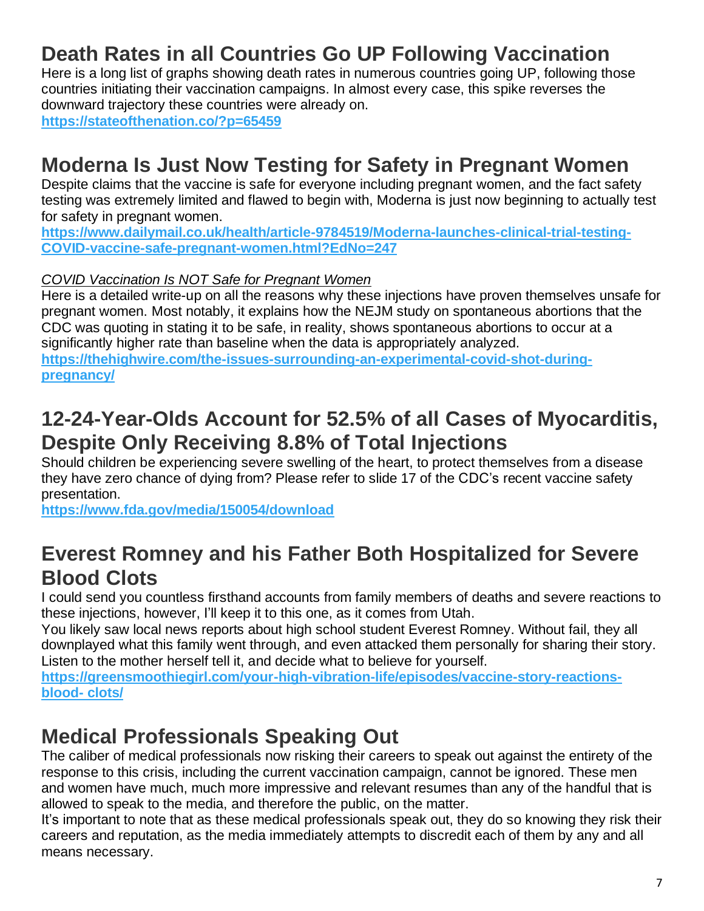# **Death Rates in all Countries Go UP Following Vaccination**

Here is a long list of graphs showing death rates in numerous countries going UP, following those countries initiating their vaccination campaigns. In almost every case, this spike reverses the downward trajectory these countries were already on.

**<https://stateofthenation.co/?p=65459>**

#### **Moderna Is Just Now Testing for Safety in Pregnant Women**

Despite claims that the vaccine is safe for everyone including pregnant women, and the fact safety testing was extremely limited and flawed to begin with, Moderna is just now beginning to actually test for safety in pregnant women.

**[https://www.dailymail.co.uk/health/article-9784519/Moderna-launches-clinical-trial-testing-](https://www.dailymail.co.uk/health/article-9784519/Moderna-launches-clinical-trial-testing-%20COVID-vaccine-safe-pregnant-women.html?EdNo=247)[COVID-vaccine-safe-pregnant-women.html?EdNo=247](https://www.dailymail.co.uk/health/article-9784519/Moderna-launches-clinical-trial-testing-%20COVID-vaccine-safe-pregnant-women.html?EdNo=247)**

#### *COVID Vaccination Is NOT Safe for Pregnant Women*

Here is a detailed write-up on all the reasons why these injections have proven themselves unsafe for pregnant women. Most notably, it explains how the NEJM study on spontaneous abortions that the CDC was quoting in stating it to be safe, in reality, shows spontaneous abortions to occur at a significantly higher rate than baseline when the data is appropriately analyzed.

**[https://thehighwire.com/the-issues-surrounding-an-experimental-covid-shot-during](https://thehighwire.com/videos/are-covid-vaccines-triggering-miscarriages/)[pregnancy/](https://thehighwire.com/videos/are-covid-vaccines-triggering-miscarriages/)**

#### **12-24-Year-Olds Account for 52.5% of all Cases of Myocarditis, Despite Only Receiving 8.8% of Total Injections**

Should children be experiencing severe swelling of the heart, to protect themselves from a disease they have zero chance of dying from? Please refer to slide 17 of the CDC's recent vaccine safety presentation.

**<https://www.fda.gov/media/150054/download>**

### **Everest Romney and his Father Both Hospitalized for Severe Blood Clots**

I could send you countless firsthand accounts from family members of deaths and severe reactions to these injections, however, I'll keep it to this one, as it comes from Utah.

You likely saw local news reports about high school student Everest Romney. Without fail, they all downplayed what this family went through, and even attacked them personally for sharing their story. Listen to the mother herself tell it, and decide what to believe for yourself.

**[https://greensmoothiegirl.com/your-high-vibration-life/episodes/vaccine-story-reactions](https://greensmoothiegirl.com/your-high-vibration-life/episodes/vaccine-story-reactions-blood-clots/)[blood-](https://greensmoothiegirl.com/your-high-vibration-life/episodes/vaccine-story-reactions-blood-clots/) clots/**

### **Medical Professionals Speaking Out**

The caliber of medical professionals now risking their careers to speak out against the entirety of the response to this crisis, including the current vaccination campaign, cannot be ignored. These men and women have much, much more impressive and relevant resumes than any of the handful that is allowed to speak to the media, and therefore the public, on the matter.

It's important to note that as these medical professionals speak out, they do so knowing they risk their careers and reputation, as the media immediately attempts to discredit each of them by any and all means necessary.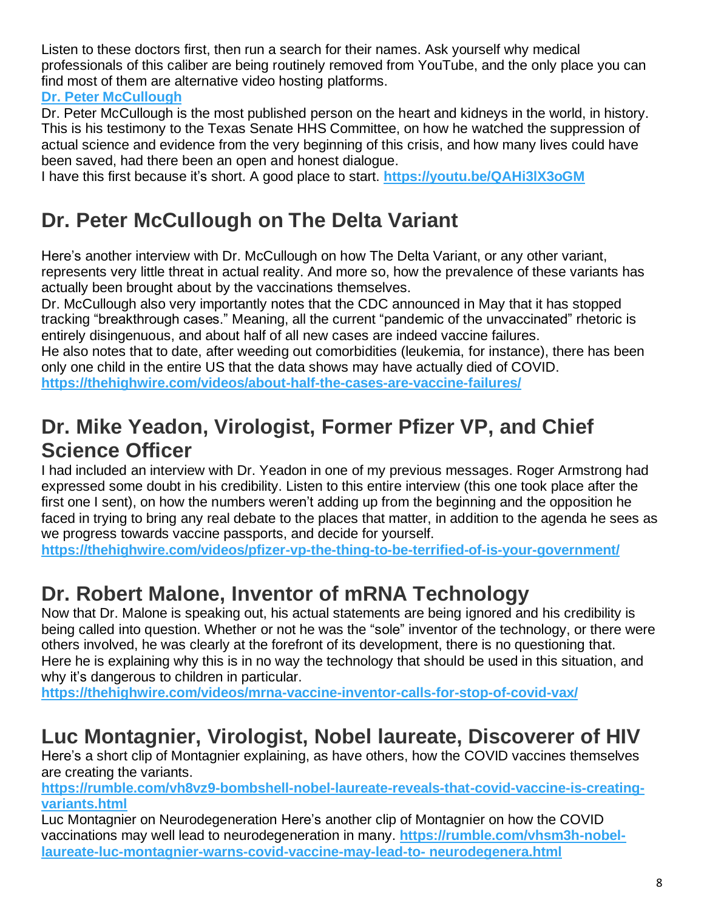Listen to these doctors first, then run a search for their names. Ask yourself why medical professionals of this caliber are being routinely removed from YouTube, and the only place you can find most of them are alternative video hosting platforms.

**Dr. Peter [McCullough](https://www.cardiometabolichealth.org/peter-mccullough.html)**

Dr. Peter McCullough is the most published person on the heart and kidneys in the world, in history. This is his testimony to the Texas Senate HHS Committee, on how he watched the suppression of actual science and evidence from the very beginning of this crisis, and how many lives could have been saved, had there been an open and honest dialogue.

I have this first because it's short. A good place to start. **<https://youtu.be/QAHi3lX3oGM>**

#### **Dr. Peter McCullough on The Delta Variant**

Here's another interview with Dr. McCullough on how The Delta Variant, or any other variant, represents very little threat in actual reality. And more so, how the prevalence of these variants has actually been brought about by the vaccinations themselves.

Dr. McCullough also very importantly notes that the CDC announced in May that it has stopped tracking "breakthrough cases." Meaning, all the current "pandemic of the unvaccinated" rhetoric is entirely disingenuous, and about half of all new cases are indeed vaccine failures.

He also notes that to date, after weeding out comorbidities (leukemia, for instance), there has been only one child in the entire US that the data shows may have actually died of COVID. **<https://thehighwire.com/videos/about-half-the-cases-are-vaccine-failures/>**

### **Dr. Mike Yeadon, Virologist, Former Pfizer VP, and Chief Science Officer**

I had included an interview with Dr. Yeadon in one of my previous messages. Roger Armstrong had expressed some doubt in his credibility. Listen to this entire interview (this one took place after the first one I sent), on how the numbers weren't adding up from the beginning and the opposition he faced in trying to bring any real debate to the places that matter, in addition to the agenda he sees as we progress towards vaccine passports, and decide for yourself.

**<https://thehighwire.com/videos/pfizer-vp-the-thing-to-be-terrified-of-is-your-government/>**

### **Dr. Robert Malone, Inventor of mRNA Technology**

Now that Dr. Malone is speaking out, his actual statements are being ignored and his credibility is being called into question. Whether or not he was the "sole" inventor of the technology, or there were others involved, he was clearly at the forefront of its development, there is no questioning that. Here he is explaining why this is in no way the technology that should be used in this situation, and why it's dangerous to children in particular.

**<https://thehighwire.com/videos/mrna-vaccine-inventor-calls-for-stop-of-covid-vax/>**

### **Luc Montagnier, Virologist, Nobel laureate, Discoverer of HIV**

Here's a short clip of Montagnier explaining, as have others, how the COVID vaccines themselves are creating the variants.

**[https://rumble.com/vh8vz9-bombshell-nobel-laureate-reveals-that-covid-vaccine-is-creating](https://rumble.com/vh8vz9-bombshell-nobel-laureate-reveals-that-covid-vaccine-is-creating-%20variants.html)[variants.html](https://rumble.com/vh8vz9-bombshell-nobel-laureate-reveals-that-covid-vaccine-is-creating-%20variants.html)**

Luc Montagnier on Neurodegeneration Here's another clip of Montagnier on how the COVID vaccinations may well lead to neurodegeneration in many. **[https://rumble.com/vhsm3h-nobel](https://rumble.com/vhsm3h-nobel-laureate-luc-montagnier-warns-covid-vaccine-may-lead-to-%20neurodegenera.html)[laureate-luc-montagnier-warns-covid-vaccine-may-lead-to-](https://rumble.com/vhsm3h-nobel-laureate-luc-montagnier-warns-covid-vaccine-may-lead-to-%20neurodegenera.html) neurodegenera.html**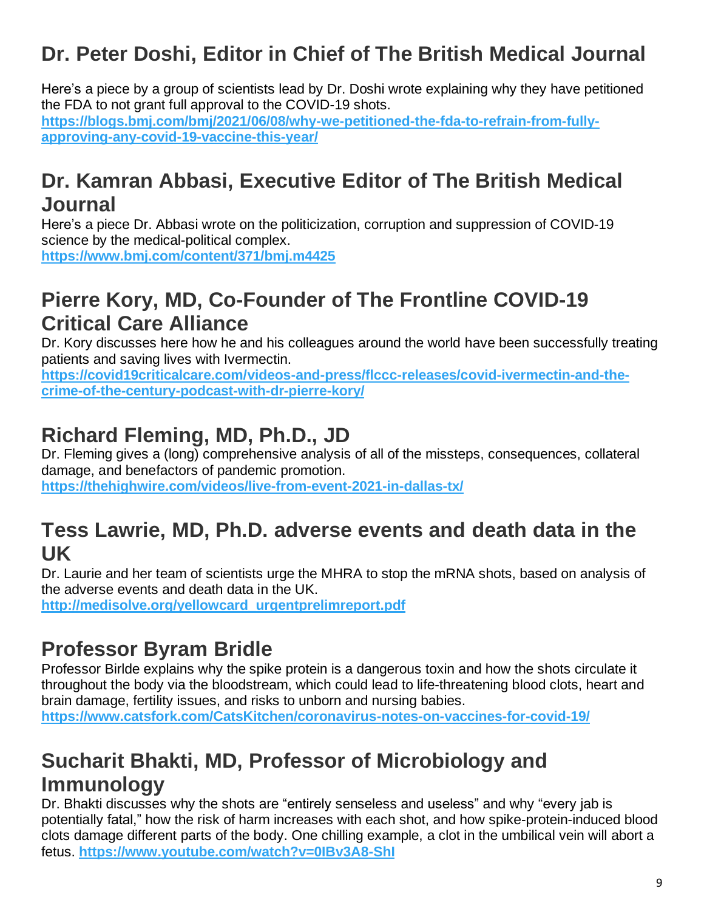# **Dr. Peter Doshi, Editor in Chief of The British Medical Journal**

Here's a piece by a group of scientists lead by Dr. Doshi wrote explaining why they have petitioned the FDA to not grant full approval to the COVID-19 shots. https://blogs.bmi.com/bmi/2021/06/08/why-we-petitioned-the-fda-to-refrain-from-fully**[approving-any-covid-19-vaccine-this-year/](https://blogs.bmj.com/bmj/2021/06/08/why-we-petitioned-the-fda-to-refrain-from-fully-approving-any-covid-19-vaccine-this-year/)**

#### **Dr. Kamran Abbasi, Executive Editor of The British Medical Journal**

Here's a piece Dr. Abbasi wrote on the politicization, corruption and suppression of COVID-19 science by the medical-political complex. **<https://www.bmj.com/content/371/bmj.m4425>**

### **Pierre Kory, MD, Co-Founder of The Frontline COVID-19 Critical Care Alliance**

Dr. Kory discusses here how he and his colleagues around the world have been successfully treating patients and saving lives with Ivermectin.

**[https://covid19criticalcare.com/videos-and-press/flccc-releases/covid-ivermectin-and-the](https://covid19criticalcare.com/videos-and-press/flccc-releases/covid-ivermectin-and-the-%20crime-of-the-century-podcast-with-dr-pierre-kory/)[crime-of-the-century-podcast-with-dr-pierre-kory/](https://covid19criticalcare.com/videos-and-press/flccc-releases/covid-ivermectin-and-the-%20crime-of-the-century-podcast-with-dr-pierre-kory/)**

## **Richard Fleming, MD, Ph.D., JD**

Dr. Fleming gives a (long) comprehensive analysis of all of the missteps, consequences, collateral damage, and benefactors of pandemic promotion.

#### **<https://thehighwire.com/videos/live-from-event-2021-in-dallas-tx/>**

#### **Tess Lawrie, MD, Ph.D. adverse events and death data in the UK**

Dr. Laurie and her team of scientists urge the MHRA to stop the mRNA shots, based on analysis of the adverse events and death data in the UK.

**[http://medisolve.org/yellowcard\\_urgentprelimreport.pdf](http://medisolve.org/yellowcard_urgentprelimreport.pdf)**

### **Professor Byram Bridle**

Professor Birlde explains why the spike protein is a dangerous toxin and how the shots circulate it throughout the body via the bloodstream, which could lead to life-threatening blood clots, heart and brain damage, fertility issues, and risks to unborn and nursing babies.

**<https://www.catsfork.com/CatsKitchen/coronavirus-notes-on-vaccines-for-covid-19/>**

### **Sucharit Bhakti, MD, Professor of Microbiology and Immunology**

Dr. Bhakti discusses why the shots are "entirely senseless and useless" and why "every jab is potentially fatal," how the risk of harm increases with each shot, and how spike-protein-induced blood clots damage different parts of the body. One chilling example, a clot in the umbilical vein will abort a fetus. **<https://www.youtube.com/watch?v=0IBv3A8-ShI>**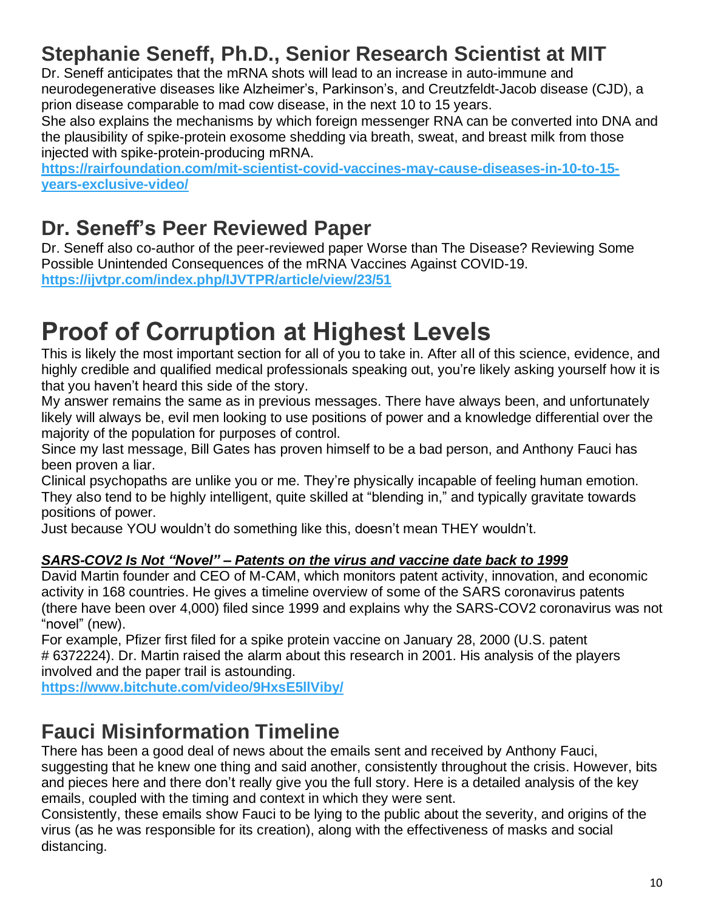# **Stephanie Seneff, Ph.D., Senior Research Scientist at MIT**

Dr. Seneff anticipates that the mRNA shots will lead to an increase in auto-immune and neurodegenerative diseases like Alzheimer's, Parkinson's, and Creutzfeldt-Jacob disease (CJD), a prion disease comparable to mad cow disease, in the next 10 to 15 years.

She also explains the mechanisms by which foreign messenger RNA can be converted into DNA and the plausibility of spike-protein exosome shedding via breath, sweat, and breast milk from those injected with spike-protein-producing mRNA.

**[https://rairfoundation.com/mit-scientist-covid-vaccines-may-cause-diseases-in-10-to-15](https://rairfoundation.com/mit-scientist-covid-vaccines-may-cause-diseases-in-10-to-15-years-exclusive-video/) [years-exclusive-video/](https://rairfoundation.com/mit-scientist-covid-vaccines-may-cause-diseases-in-10-to-15-years-exclusive-video/)**

### **Dr. Seneff's Peer Reviewed Paper**

Dr. Seneff also co-author of the peer-reviewed paper Worse than The Disease? Reviewing Some Possible Unintended Consequences of the mRNA Vaccines Against COVID-19. **<https://ijvtpr.com/index.php/IJVTPR/article/view/23/51>**

# **Proof of Corruption at Highest Levels**

This is likely the most important section for all of you to take in. After all of this science, evidence, and highly credible and qualified medical professionals speaking out, you're likely asking yourself how it is that you haven't heard this side of the story.

My answer remains the same as in previous messages. There have always been, and unfortunately likely will always be, evil men looking to use positions of power and a knowledge differential over the majority of the population for purposes of control.

Since my last message, Bill Gates has proven himself to be a bad person, and Anthony Fauci has been proven a liar.

Clinical psychopaths are unlike you or me. They're physically incapable of feeling human emotion. They also tend to be highly intelligent, quite skilled at "blending in," and typically gravitate towards positions of power.

Just because YOU wouldn't do something like this, doesn't mean THEY wouldn't.

#### *SARS-COV2 Is Not "Novel" – Patents on the virus and vaccine date back to 1999*

David Martin founder and CEO of M-CAM, which monitors patent activity, innovation, and economic activity in 168 countries. He gives a timeline overview of some of the SARS coronavirus patents (there have been over 4,000) filed since 1999 and explains why the SARS-COV2 coronavirus was not "novel" (new).

For example, Pfizer first filed for a spike protein vaccine on January 28, 2000 (U.S. patent # 6372224). Dr. Martin raised the alarm about this research in 2001. His analysis of the players involved and the paper trail is astounding.

**<https://www.bitchute.com/video/9HxsE5llViby/>**

### **Fauci Misinformation Timeline**

There has been a good deal of news about the emails sent and received by Anthony Fauci, suggesting that he knew one thing and said another, consistently throughout the crisis. However, bits and pieces here and there don't really give you the full story. Here is a detailed analysis of the key emails, coupled with the timing and context in which they were sent.

Consistently, these emails show Fauci to be lying to the public about the severity, and origins of the virus (as he was responsible for its creation), along with the effectiveness of masks and social distancing.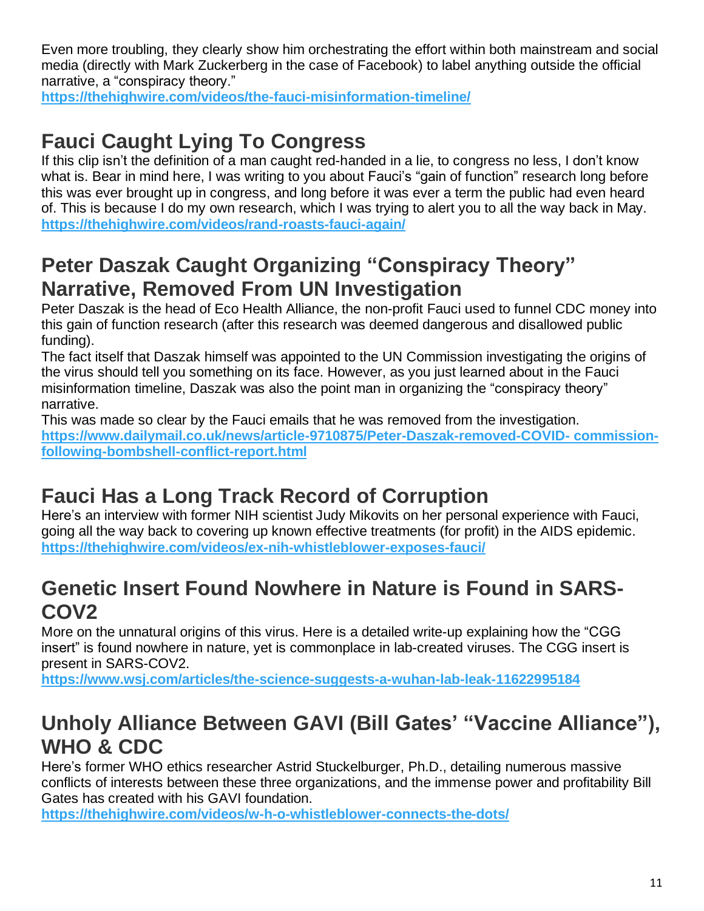Even more troubling, they clearly show him orchestrating the effort within both mainstream and social media (directly with Mark Zuckerberg in the case of Facebook) to label anything outside the official narrative, a "conspiracy theory."

**https://thehighwire.com/videos/the-fauci-misinformation-timeline/**

## **Fauci Caught Lying To Congress**

If this clip isn't the definition of a man caught red-handed in a lie, to congress no less, I don't know what is. Bear in mind here, I was writing to you about Fauci's "gain of function" research long before this was ever brought up in congress, and long before it was ever a term the public had even heard of. This is because I do my own research, which I was trying to alert you to all the way back in May. **https://thehighwire.com/videos/rand-roasts-fauci-again/**

### **Peter Daszak Caught Organizing "Conspiracy Theory" Narrative, Removed From UN Investigation**

Peter Daszak is the head of Eco Health Alliance, the non-profit Fauci used to funnel CDC money into this gain of function research (after this research was deemed dangerous and disallowed public funding).

The fact itself that Daszak himself was appointed to the UN Commission investigating the origins of the virus should tell you something on its face. However, as you just learned about in the Fauci misinformation timeline, Daszak was also the point man in organizing the "conspiracy theory" narrative.

This was made so clear by the Fauci emails that he was removed from the investigation.

**https://www.dailymail.co.uk/news/article-9710875/Peter-Daszak-removed-COVID- commissionfollowing-bombshell-conflict-report.html**

# **Fauci Has a Long Track Record of Corruption**

Here's an interview with former NIH scientist Judy Mikovits on her personal experience with Fauci, going all the way back to covering up known effective treatments (for profit) in the AIDS epidemic. **https://thehighwire.com/videos/ex-nih-whistleblower-exposes-fauci/**

### **Genetic Insert Found Nowhere in Nature is Found in SARS-COV2**

More on the unnatural origins of this virus. Here is a detailed write-up explaining how the "CGG insert" is found nowhere in nature, yet is commonplace in lab-created viruses. The CGG insert is present in SARS-COV2.

**https://www.wsj.com/articles/the-science-suggests-a-wuhan-lab-leak-11622995184**

## **Unholy Alliance Between GAVI (Bill Gates' "Vaccine Alliance"), WHO & CDC**

Here's former WHO ethics researcher Astrid Stuckelburger, Ph.D., detailing numerous massive conflicts of interests between these three organizations, and the immense power and profitability Bill Gates has created with his GAVI foundation.

**https://thehighwire.com/videos/w-h-o-whistleblower-connects-the-dots/**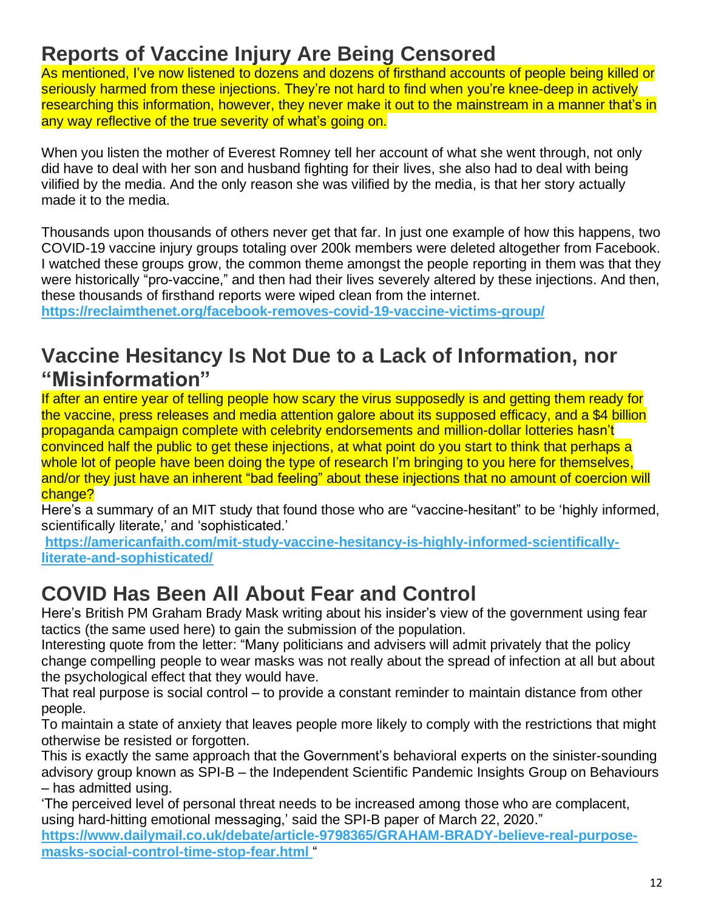### **Reports of Vaccine Injury Are Being Censored**

As mentioned, I've now listened to dozens and dozens of firsthand accounts of people being killed or seriously harmed from these injections. They're not hard to find when you're knee-deep in actively researching this information, however, they never make it out to the mainstream in a manner that's in any way reflective of the true severity of what's going on.

When you listen the mother of Everest Romney tell her account of what she went through, not only did have to deal with her son and husband fighting for their lives, she also had to deal with being vilified by the media. And the only reason she was vilified by the media, is that her story actually made it to the media.

Thousands upon thousands of others never get that far. In just one example of how this happens, two COVID-19 vaccine injury groups totaling over 200k members were deleted altogether from Facebook. I watched these groups grow, the common theme amongst the people reporting in them was that they were historically "pro-vaccine," and then had their lives severely altered by these injections. And then, these thousands of firsthand reports were wiped clean from the internet.

**https://reclaimthenet.org/facebook-removes-covid-19-vaccine-victims-group/**

#### **Vaccine Hesitancy Is Not Due to a Lack of Information, nor "Misinformation"**

If after an entire year of telling people how scary the virus supposedly is and getting them ready for the vaccine, press releases and media attention galore about its supposed efficacy, and a \$4 billion propaganda campaign complete with celebrity endorsements and million-dollar lotteries hasn't convinced half the public to get these injections, at what point do you start to think that perhaps a whole lot of people have been doing the type of research I'm bringing to you here for themselves, and/or they just have an inherent "bad feeling" about these injections that no amount of coercion will change?

Here's a summary of an MIT study that found those who are "vaccine-hesitant" to be 'highly informed, scientifically literate,' and 'sophisticated.'

**https://americanfaith.com/mit-study-vaccine-hesitancy-is-highly-informed-scientificallyliterate-and-sophisticated/**

### **COVID Has Been All About Fear and Control**

Here's British PM Graham Brady Mask writing about his insider's view of the government using fear tactics (the same used here) to gain the submission of the population.

Interesting quote from the letter: "Many politicians and advisers will admit privately that the policy change compelling people to wear masks was not really about the spread of infection at all but about the psychological effect that they would have.

That real purpose is social control – to provide a constant reminder to maintain distance from other people.

To maintain a state of anxiety that leaves people more likely to comply with the restrictions that might otherwise be resisted or forgotten.

This is exactly the same approach that the Government's behavioral experts on the sinister-sounding advisory group known as SPI-B – the Independent Scientific Pandemic Insights Group on Behaviours – has admitted using.

'The perceived level of personal threat needs to be increased among those who are complacent, using hard-hitting emotional messaging,' said the SPI-B paper of March 22, 2020."

**https://www.dailymail.co.uk/debate/article-9798365/GRAHAM-BRADY-believe-real-purposemasks-social-control-time-stop-fear.html** "